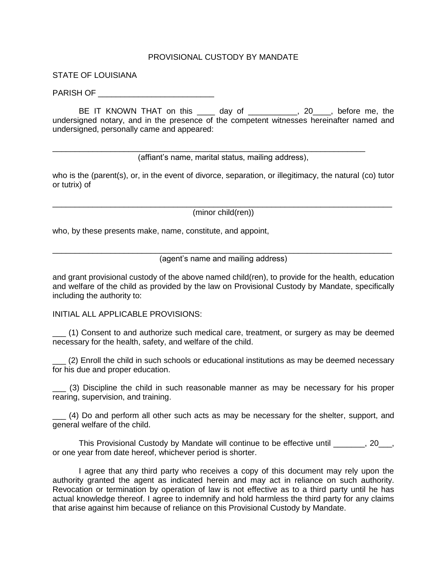## PROVISIONAL CUSTODY BY MANDATE

STATE OF LOUISIANA

PARISH OF

BE IT KNOWN THAT on this \_\_\_\_ day of \_\_\_\_\_\_\_\_\_\_, 20\_\_\_, before me, the undersigned notary, and in the presence of the competent witnesses hereinafter named and undersigned, personally came and appeared:

(affiant's name, marital status, mailing address),

\_\_\_\_\_\_\_\_\_\_\_\_\_\_\_\_\_\_\_\_\_\_\_\_\_\_\_\_\_\_\_\_\_\_\_\_\_\_\_\_\_\_\_\_\_\_\_\_\_\_\_\_\_\_\_\_\_\_\_\_\_\_\_\_\_\_\_\_\_\_

who is the (parent(s), or, in the event of divorce, separation, or illegitimacy, the natural (co) tutor or tutrix) of

\_\_\_\_\_\_\_\_\_\_\_\_\_\_\_\_\_\_\_\_\_\_\_\_\_\_\_\_\_\_\_\_\_\_\_\_\_\_\_\_\_\_\_\_\_\_\_\_\_\_\_\_\_\_\_\_\_\_\_\_\_\_\_\_\_\_\_\_\_\_\_\_\_\_\_\_ (minor child(ren))

who, by these presents make, name, constitute, and appoint,

\_\_\_\_\_\_\_\_\_\_\_\_\_\_\_\_\_\_\_\_\_\_\_\_\_\_\_\_\_\_\_\_\_\_\_\_\_\_\_\_\_\_\_\_\_\_\_\_\_\_\_\_\_\_\_\_\_\_\_\_\_\_\_\_\_\_\_\_\_\_\_\_\_\_\_\_ (agent's name and mailing address)

and grant provisional custody of the above named child(ren), to provide for the health, education and welfare of the child as provided by the law on Provisional Custody by Mandate, specifically including the authority to:

INITIAL ALL APPLICABLE PROVISIONS:

\_\_\_ (1) Consent to and authorize such medical care, treatment, or surgery as may be deemed necessary for the health, safety, and welfare of the child.

\_\_\_ (2) Enroll the child in such schools or educational institutions as may be deemed necessary for his due and proper education.

\_\_\_ (3) Discipline the child in such reasonable manner as may be necessary for his proper rearing, supervision, and training.

\_\_\_ (4) Do and perform all other such acts as may be necessary for the shelter, support, and general welfare of the child.

This Provisional Custody by Mandate will continue to be effective until  $\qquad \qquad$ , 20. or one year from date hereof, whichever period is shorter.

I agree that any third party who receives a copy of this document may rely upon the authority granted the agent as indicated herein and may act in reliance on such authority. Revocation or termination by operation of law is not effective as to a third party until he has actual knowledge thereof. I agree to indemnify and hold harmless the third party for any claims that arise against him because of reliance on this Provisional Custody by Mandate.